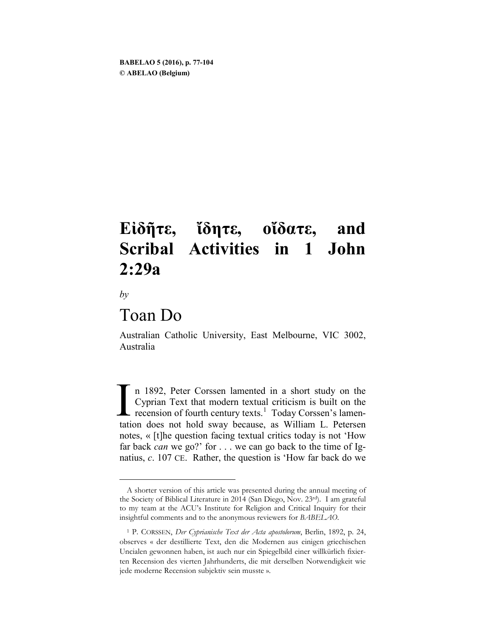# **Εἰδῆτε, ἴδητε, οἴδατε, and Scribal Activities in 1 John 2:29a**

*by*

 $\overline{a}$ 

# Toan Do

Australian Catholic University, East Melbourne, VIC 3002, Australia

n 1892, Peter Corssen lamented in a short study on the Cyprian Text that modern textual criticism is built on the recension of fourth century texts.<sup>[1](#page-0-0)</sup> Today Corssen's lamentation does not hold sway because, as William L. Petersen notes, « [t]he question facing textual critics today is not 'How far back *can* we go?' for . . . we can go back to the time of Ignatius, *c*. 107 CE. Rather, the question is 'How far back do we  $\prod_{\text{tati}}$ 

<span id="page-0-0"></span>A shorter version of this article was presented during the annual meeting of the Society of Biblical Literature in 2014 (San Diego, Nov. 23rd). I am grateful to my team at the ACU's Institute for Religion and Critical Inquiry for their insightful comments and to the anonymous reviewers for *BABELAO*.

<sup>1</sup> P. CORSSEN, *Der Cyprianische Text der Acta apostolorum*, Berlin, 1892, p. 24, observes « der destillierte Text, den die Modernen aus einigen griechischen Uncialen gewonnen haben, ist auch nur ein Spiegelbild einer willkürlich fixierten Recension des vierten Jahrhunderts, die mit derselben Notwendigkeit wie jede moderne Recension subjektiv sein musste ».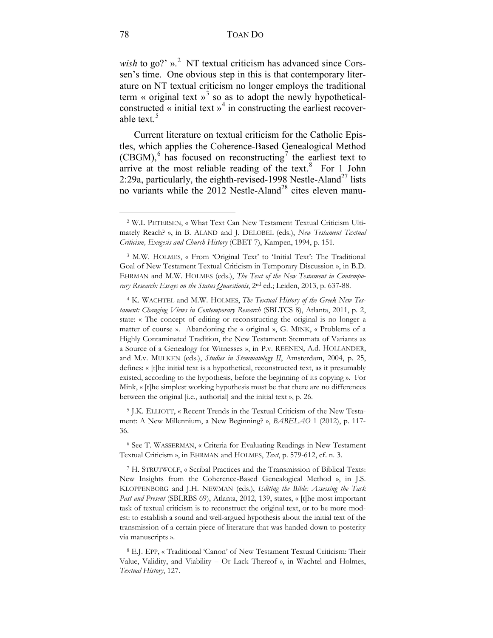wish to go?'  $\mu$ <sup>[2](#page-1-0)</sup> NT textual criticism has advanced since Corssen's time. One obvious step in this is that contemporary literature on NT textual criticism no longer employs the traditional term « original text »<sup>[3](#page-1-1)</sup> so as to adopt the newly hypotheticalconstructed « initial text  $\gamma^4$  $\gamma^4$  in constructing the earliest recover-able text.<sup>[5](#page-1-3)</sup>

Current literature on textual criticism for the Catholic Epistles, which applies the Coherence-Based Genealogical Method  $(CBGM)$ , has focused on reconstructing<sup>[7](#page-1-5)</sup> the earliest text to arrive at the most reliable reading of the text. $8$  For 1 John 2:29a, particularly, the eighth-revised-1998 Nestle-Aland<sup>27</sup> lists no variants while the 2012 Nestle-Aland<sup>28</sup> cites eleven manu-

<span id="page-1-3"></span><sup>5</sup> J.K. ELLIOTT, « Recent Trends in the Textual Criticism of the New Testament: A New Millennium, a New Beginning? », *BABELAO* 1 (2012), p. 117- 36.

<span id="page-1-4"></span><sup>6</sup> See T. WASSERMAN, « Criteria for Evaluating Readings in New Testament Textual Criticism », in EHRMAN and HOLMES, *Text*, p. 579-612, cf. n. 3.

<span id="page-1-0"></span><sup>2</sup> W.L PETERSEN, « What Text Can New Testament Textual Criticism Ultimately Reach? », in B. ALAND and J. DELOBEL (eds.), *New Testament Textual Criticism, Exegesis and Church History* (CBET 7), Kampen, 1994, p. 151.

<span id="page-1-1"></span><sup>3</sup> M.W. HOLMES, « From 'Original Text' to 'Initial Text': The Traditional Goal of New Testament Textual Criticism in Temporary Discussion », in B.D. EHRMAN and M.W. HOLMES (eds.), *The Text of the New Testament in Contemporary Research: Essays on the Status Quaestionis*, 2nd ed.; Leiden, 2013, p. 637-88.

<span id="page-1-2"></span><sup>4</sup> K. WACHTEL and M.W. HOLMES, *The Textual History of the Greek New Testament: Changing Views in Contemporary Research* (SBLTCS 8), Atlanta, 2011, p. 2, state: « The concept of editing or reconstructing the original is no longer a matter of course ». Abandoning the « original », G. MINK, « Problems of a Highly Contaminated Tradition, the New Testament: Stemmata of Variants as a Source of a Genealogy for Witnesses », in P.v. REENEN, A.d. HOLLANDER, and M.v. MULKEN (eds.), *Studies in Stemmatology II*, Amsterdam, 2004, p. 25, defines: « [t]he initial text is a hypothetical, reconstructed text, as it presumably existed, according to the hypothesis, before the beginning of its copying ». For Mink, « [t]he simplest working hypothesis must be that there are no differences between the original [i.e., authorial] and the initial text », p. 26.

<span id="page-1-5"></span><sup>7</sup> H. STRUTWOLF, « Scribal Practices and the Transmission of Biblical Texts: New Insights from the Coherence-Based Genealogical Method », in J.S. KLOPPENBORG and J.H. NEWMAN (eds.), *Editing the Bible: Assessing the Task Past and Present* (SBLRBS 69), Atlanta, 2012, 139, states, « [t]he most important task of textual criticism is to reconstruct the original text, or to be more modest: to establish a sound and well-argued hypothesis about the initial text of the transmission of a certain piece of literature that was handed down to posterity via manuscripts ».

<span id="page-1-6"></span><sup>8</sup> E.J. EPP, « Traditional 'Canon' of New Testament Textual Criticism: Their Value, Validity, and Viability – Or Lack Thereof », in Wachtel and Holmes, *Textual History*, 127.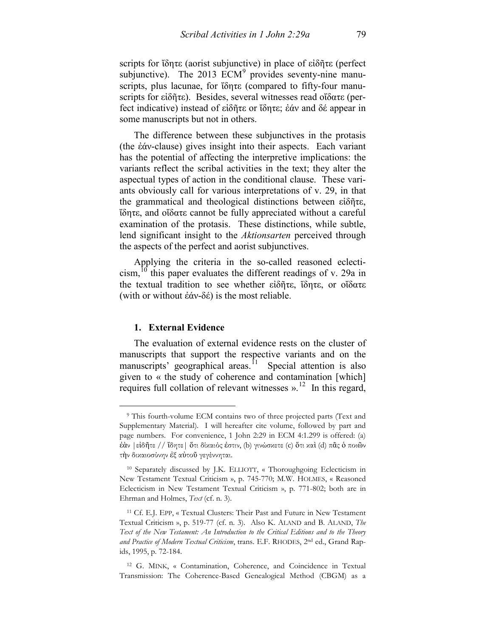scripts for ἴδητε (aorist subjunctive) in place of εἰδῆτε (perfect subjunctive). The  $2013$  ECM<sup>[9](#page-2-0)</sup> provides seventy-nine manuscripts, plus lacunae, for ἴδητε (compared to fifty-four manuscripts for εἰδῆτε). Besides, several witnesses read οἴδατε (perfect indicative) instead of εἰδῆτε or ἴδητε; ἐάν and δέ appear in some manuscripts but not in others.

The difference between these subjunctives in the protasis (the ἐάν-clause) gives insight into their aspects. Each variant has the potential of affecting the interpretive implications: the variants reflect the scribal activities in the text; they alter the aspectual types of action in the conditional clause. These variants obviously call for various interpretations of v. 29, in that the grammatical and theological distinctions between εἰδῆτε, ἴδητε, and οἴδατε cannot be fully appreciated without a careful examination of the protasis. These distinctions, while subtle, lend significant insight to the *Aktionsarten* perceived through the aspects of the perfect and aorist subjunctives.

Applying the criteria in the so-called reasoned eclecticism, <sup>t</sup> this paper evaluates the different readings of v. 29a in the textual tradition to see whether εἰδῆτε, ἴδητε, or οἴδατε (with or without ἐάν-δέ) is the most reliable.

# **1. External Evidence**

 $\overline{a}$ 

The evaluation of external evidence rests on the cluster of manuscripts that support the respective variants and on the manuscripts' geographical areas.<sup>11</sup> Special attention is also given to « the study of coherence and contamination [which] requires full collation of relevant witnesses  $v<sup>12</sup>$  In this regard,

<span id="page-2-0"></span><sup>9</sup> This fourth-volume ECM contains two of three projected parts (Text and Supplementary Material). I will hereafter cite volume, followed by part and page numbers. For convenience, 1 John 2:29 in ECM 4:1.299 is offered: (a) ἐὰν |εἰδῆτε // ἴδητε| ὅτι δίκαιός ἐστιν, (b) γινώσκετε (c) ὅτι καὶ (d) πᾶς ὁ ποιῶν τὴν δικαιοσύνην ἐξ αὐτοῦ γεγέννηται.

<span id="page-2-1"></span><sup>10</sup> Separately discussed by J.K. ELLIOTT, « Thoroughgoing Eclecticism in New Testament Textual Criticism », p. 745-770; M.W. HOLMES, « Reasoned Eclecticism in New Testament Textual Criticism », p. 771-802; both are in Ehrman and Holmes, *Text* (cf. n. 3).

<span id="page-2-2"></span><sup>11</sup> Cf. E.J. EPP, « Textual Clusters: Their Past and Future in New Testament Textual Criticism », p. 519-77 (cf. n. 3). Also K. ALAND and B. ALAND, *The Text of the New Testament: An Introduction to the Critical Editions and to the Theory and Practice of Modern Textual Criticism*, trans. E.F. RHODES, 2nd ed., Grand Rapids, 1995, p. 72-184.

<span id="page-2-3"></span><sup>12</sup> G. MINK, « Contamination, Coherence, and Coincidence in Textual Transmission: The Coherence-Based Genealogical Method (CBGM) as a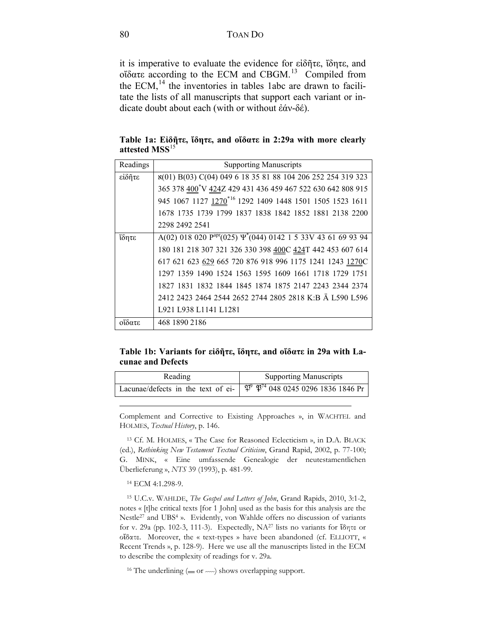it is imperative to evaluate the evidence for εἰδῆτε, ἴδητε, and οἴδατε according to the ECM and CBGM.[13](#page-3-0) Compiled from the ECM, $<sup>14</sup>$  $<sup>14</sup>$  $<sup>14</sup>$  the inventories in tables 1abc are drawn to facili-</sup> tate the lists of all manuscripts that support each variant or indicate doubt about each (with or without ἐάν-δέ).

**Table 1a: Εἰδῆτε, ἴδητε, and οἴδατε in 2:29a with more clearly attested MSS**[15](#page-3-2)

| Readings | <b>Supporting Manuscripts</b>                                                       |
|----------|-------------------------------------------------------------------------------------|
| είδητε   | x(01) B(03) C(04) 049 6 18 35 81 88 104 206 252 254 319 323                         |
|          | 365 378 400 V 424Z 429 431 436 459 467 522 630 642 808 915                          |
|          | 945 1067 1127 1270 <sup>*16</sup> 1292 1409 1448 1501 1505 1523 1611                |
|          | 1678 1735 1739 1799 1837 1838 1842 1852 1881 2138 2200                              |
|          | 2298 2492 2541                                                                      |
| ΐδητε    | A(02) 018 020 $P^{apr}$ (025) $\Psi$ <sup>*</sup> (044) 0142 1 5 33V 43 61 69 93 94 |
|          | 180 181 218 307 321 326 330 398 400C 424T 442 453 607 614                           |
|          | 617 621 623 629 665 720 876 918 996 1175 1241 1243 1270C                            |
|          | 1297 1359 1490 1524 1563 1595 1609 1661 1718 1729 1751                              |
|          | 1827 1831 1832 1844 1845 1874 1875 2147 2243 2344 2374                              |
|          | 2412 2423 2464 2544 2652 2744 2805 2818 K:B Ä L590 L596                             |
|          | L921 L938 L1141 L1281                                                               |
| οΐδατε   | 468 1890 2186                                                                       |

**Table 1b: Variants for εἰδῆτε, ἴδητε, and οἴδατε in 29a with Lacunae and Defects**

| Reading | <b>Supporting Manuscripts</b>                                                               |  |  |
|---------|---------------------------------------------------------------------------------------------|--|--|
|         | Lacunae/defects in the text of ei- $\phi^9 \, \mathfrak{P}^{74}$ 048 0245 0296 1836 1846 Pr |  |  |

Complement and Corrective to Existing Approaches », in WACHTEL and HOLMES, *Textual History*, p. 146.

<span id="page-3-0"></span><sup>13</sup> Cf. M. HOLMES, « The Case for Reasoned Eclecticism », in D.A. BLACK (ed.), *Rethinking New Testament Textual Criticism*, Grand Rapid, 2002, p. 77-100; G. MINK, « Eine umfassende Genealogie der neutestamentlichen Überlieferung », *NTS* 39 (1993), p. 481-99.

<sup>14</sup> ECM 4:1.298-9.

 $\overline{a}$ 

<span id="page-3-2"></span><span id="page-3-1"></span><sup>15</sup> U.C.v. WAHLDE, *The Gospel and Letters of John*, Grand Rapids, 2010, 3:1-2, notes « [t]he critical texts [for 1 John] used as the basis for this analysis are the Nestle<sup>27</sup> and UBS<sup>4</sup> ». Evidently, von Wahlde offers no discussion of variants for v. 29a (pp. 102-3, 111-3). Expectedly, NA27 lists no variants for ἴδητε or οἴδατε. Moreover, the « text-types » have been abandoned (cf. ELLIOTT, « Recent Trends », p. 128-9). Here we use all the manuscripts listed in the ECM to describe the complexity of readings for v. 29a.

<sup>16</sup> The underlining ( $=$  or  $\sim$ ) shows overlapping support.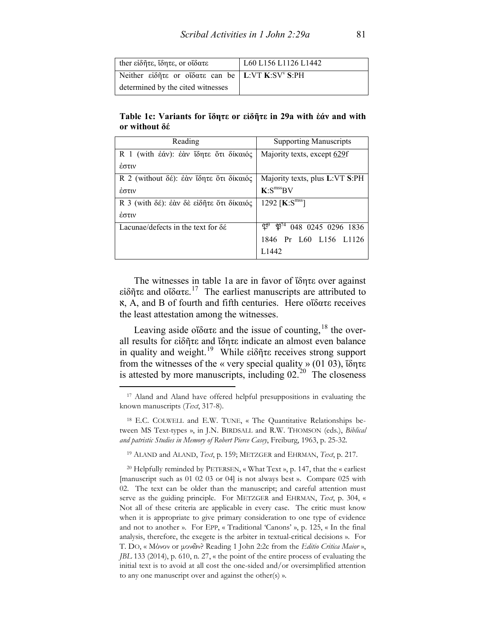| ther είδητε, ίδητε, or οίδατε                   | L60 L156 L1126 L1442 |
|-------------------------------------------------|----------------------|
| Neither είδητε or οΐδατε can be L:VT K:SV' S:PH |                      |
| determined by the cited witnesses               |                      |

**Table 1c: Variants for ἴδητε or εἰδῆτε in 29a with ἐάν and with or without δέ**

| Reading                                                                                    | <b>Supporting Manuscripts</b>  |
|--------------------------------------------------------------------------------------------|--------------------------------|
| R 1 (with $\dot{\epsilon}\dot{\alpha}v$ ): $\dot{\epsilon}\dot{\alpha}v$ ίδητε ότι δίκαιός | Majority texts, except 629f    |
| έστιν                                                                                      |                                |
| R 2 (without δέ): έὰν ἴδητε ὅτι δίκαιός                                                    | Majority texts, plus L:VT S:PH |
| έστιν                                                                                      | K: S <sup>miss</sup> BV        |
| R 3 (with δέ): έαν δε είδητε ότι δίκαιός                                                   | 1292 [ $K: Smss$ ]             |
| έστιν                                                                                      |                                |
| Lacunae/defects in the text for $\delta \acute{\epsilon}$                                  | v<br>048 0245 0296 1836        |
|                                                                                            | 1846 Pr L60 L156 L1126         |
|                                                                                            | L <sub>1442</sub>              |

The witnesses in table 1a are in favor of ἴδητε over against εἰδῆτε and οἴδατε.*16F* 17 The earliest manuscripts are attributed to א, A, and B of fourth and fifth centuries. Here οἴδατε receives the least attestation among the witnesses.

Leaving aside οἴδατε and the issue of counting,<sup>18</sup> the overall results for εἰδῆτε and ἴδητε indicate an almost even balance in quality and weight.<sup>19</sup> While εἰδῆτε receives strong support from the witnesses of the « very special quality » (01 03), ἴδητε is attested by more manuscripts, including  $02<sup>20</sup>$  The closeness

 $\overline{a}$ 

<sup>19</sup> ALAND and ALAND, *Text*, p. 159; METZGER and EHRMAN, *Text*, p. 217.

<sup>17</sup> Aland and Aland have offered helpful presuppositions in evaluating the known manuscripts (*Text*, 317-8).

<sup>18</sup> E.C. COLWELL and E.W. TUNE, « The Quantitative Relationships between MS Text-types », in J.N. BIRDSALL and R.W. THOMSON (eds.), *Biblical and patristic Studies in Memory of Robert Pierce Casey*, Freiburg, 1963, p. 25-32.

<sup>20</sup> Helpfully reminded by PETERSEN, « What Text », p. 147, that the « earliest [manuscript such as 01 02 03 or 04] is not always best ». Compare 025 with 02. The text can be older than the manuscript; and careful attention must serve as the guiding principle. For METZGER and EHRMAN, *Text*, p. 304, « Not all of these criteria are applicable in every case. The critic must know when it is appropriate to give primary consideration to one type of evidence and not to another ». For EPP, « Traditional 'Canons' », p. 125, « In the final analysis, therefore, the exegete is the arbiter in textual-critical decisions ». For T. DO, « Μόνον or μονῶν? Reading 1 John 2:2c from the *Editio Critica Maior* », *JBL* 133 (2014), p. 610, n. 27, « the point of the entire process of evaluating the initial text is to avoid at all cost the one-sided and/or oversimplified attention to any one manuscript over and against the other(s) ».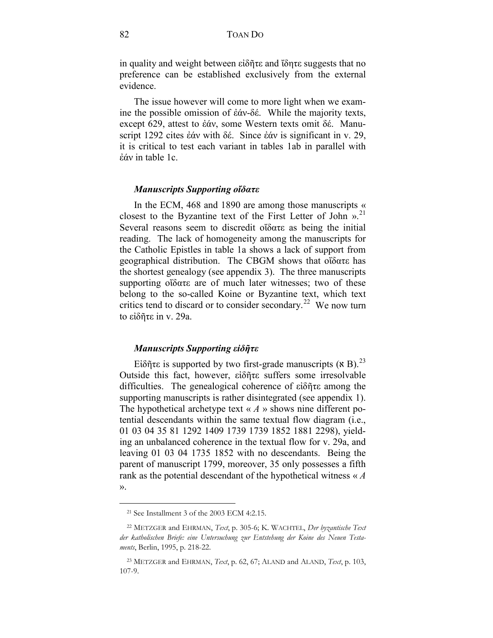in quality and weight between εἰδῆτε and ἴδητε suggests that no preference can be established exclusively from the external evidence.

The issue however will come to more light when we examine the possible omission of ἐάν-δέ. While the majority texts, except 629, attest to ἐάν, some Western texts omit δέ. Manuscript 1292 cites ἐάν with δέ. Since ἐάν is significant in v. 29, it is critical to test each variant in tables 1ab in parallel with ἐάν in table 1c.

#### *Manuscripts Supporting οἴδατε*

In the ECM, 468 and 1890 are among those manuscripts « closest to the Byzantine text of the First Letter of John ». [21](#page-5-0)  Several reasons seem to discredit οἴδατε as being the initial reading. The lack of homogeneity among the manuscripts for the Catholic Epistles in table 1a shows a lack of support from geographical distribution. The CBGM shows that οἴδατε has the shortest genealogy (see appendix 3). The three manuscripts supporting οἴδατε are of much later witnesses; two of these belong to the so-called Koine or Byzantine text, which text critics tend to discard or to consider secondary.<sup>[22](#page-5-1)</sup> We now turn to εἰδῆτε in v. 29a.

#### *Manuscripts Supporting εἰδῆτε*

Eίδῆτε is supported by two first-grade manuscripts ( $\times$  B).<sup>23</sup> Outside this fact, however, εἰδῆτε suffers some irresolvable difficulties. The genealogical coherence of εἰδῆτε among the supporting manuscripts is rather disintegrated (see appendix 1). The hypothetical archetype text « *A* » shows nine different potential descendants within the same textual flow diagram (i.e., 01 03 04 35 81 1292 1409 1739 1739 1852 1881 2298), yielding an unbalanced coherence in the textual flow for v. 29a, and leaving 01 03 04 1735 1852 with no descendants. Being the parent of manuscript 1799, moreover, 35 only possesses a fifth rank as the potential descendant of the hypothetical witness « *A* ».

<sup>21</sup> See Installment 3 of the 2003 ECM 4:2.15.

<span id="page-5-1"></span><span id="page-5-0"></span><sup>22</sup> METZGER and EHRMAN, *Text*, p. 305-6; K. WACHTEL, *Der byzantische Text der katholischen Briefe: eine Untersuchung zur Entstehung der Koine des Neuen Testaments*, Berlin, 1995, p. 218-22.

<sup>23</sup> METZGER and EHRMAN, *Text*, p. 62, 67; ALAND and ALAND, *Text*, p. 103, 107-9.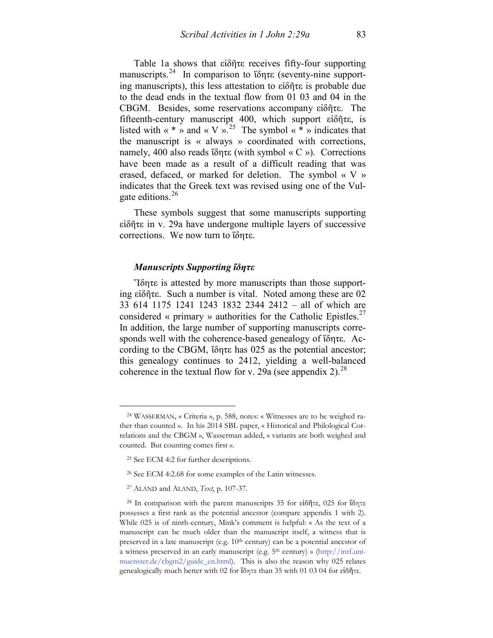Table 1a shows that εἰδῆτε receives fifty-four supporting manuscripts.<sup>[24](#page-6-0)</sup> In comparison to <del>ίδητε</del> (seventy-nine supporting manuscripts), this less attestation to εἰδῆτε is probable due to the dead ends in the textual flow from 01 03 and 04 in the CBGM. Besides, some reservations accompany εἰδῆτε. The fifteenth-century manuscript 400, which support εἰδῆτε, is listed with « \* » and « V ».<sup>25</sup> The symbol « \* » indicates that the manuscript is « always » coordinated with corrections, namely, 400 also reads ἴδητε (with symbol « C »). Corrections have been made as a result of a difficult reading that was erased, defaced, or marked for deletion. The symbol « V » indicates that the Greek text was revised using one of the Vul-gate editions.<sup>[26](#page-6-2)</sup>

These symbols suggest that some manuscripts supporting εἰδῆτε in v. 29a have undergone multiple layers of successive corrections. We now turn to ἴδητε.

#### *Manuscripts Supporting ἴδητε*

Ἴδητε is attested by more manuscripts than those supporting εἰδῆτε. Such a number is vital. Noted among these are 02 33 614 1175 1241 1243 1832 2344 2412 – all of which are considered « primary » authorities for the Catholic Epistles.<sup>27</sup> In addition, the large number of supporting manuscripts corresponds well with the coherence-based genealogy of ἴδητε. According to the CBGM, ἴδητε has 025 as the potential ancestor; this genealogy continues to 2412, yielding a well-balanced coherence in the textual flow for v. 29a (see appendix 2).<sup>[28](#page-6-4)</sup>

<span id="page-6-0"></span><sup>24</sup> WASSERMAN, « Criteria », p. 588, notes: « Witnesses are to be weighed rather than counted ». In his 2014 SBL paper, « Historical and Philological Correlations and the CBGM », Wasserman added, « variants are both weighed and counted. But counting comes first ».

<span id="page-6-1"></span><sup>25</sup> See ECM 4:2 for further descriptions.

<sup>26</sup> See ECM 4:2.68 for some examples of the Latin witnesses.

<sup>27</sup> ALAND and ALAND, *Text*, p. 107-37.

<span id="page-6-4"></span><span id="page-6-3"></span><span id="page-6-2"></span><sup>28</sup> In comparison with the parent manuscripts 35 for εἰδῆτε, 025 for ἴδητε possesses a first rank as the potential ancestor (compare appendix 1 with 2). While 025 is of ninth-century, Mink's comment is helpful: « As the text of a manuscript can be much older than the manuscript itself, a witness that is preserved in a late manuscript (e.g.  $10<sup>th</sup>$  century) can be a potential ancestor of a witness preserved in an early manuscript (e.g. 5<sup>th</sup> century) » [\(http://intf.uni](http://intf.uni-muenster.de/cbgm2/guide_en.html)[muenster.de/cbgm2/guide\\_en.html\)](http://intf.uni-muenster.de/cbgm2/guide_en.html). This is also the reason why 025 relates genealogically much better with 02 for ἴδητε than 35 with 01 03 04 for εἰδῆτε.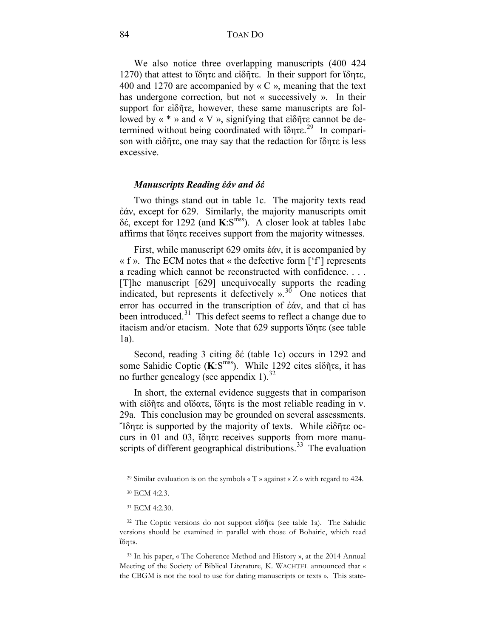84 TOAN DO

We also notice three overlapping manuscripts (400 424 1270) that attest to ἴδητε and εἰδῆτε. In their support for ἴδητε, 400 and 1270 are accompanied by « C », meaning that the text has undergone correction, but not « successively ». In their support for εἰδῆτε, however, these same manuscripts are followed by  $\ll$  \* » and  $\ll$  V », signifying that εἰδῆτε cannot be de-termined without being coordinated with ἴδητε.<sup>[29](#page-7-0)</sup> In comparison with εἰδῆτε, one may say that the redaction for ἴδητε is less excessive.

#### *Manuscripts Reading ἐάν and δέ*

Two things stand out in table 1c. The majority texts read ἐάν, except for 629. Similarly, the majority manuscripts omit δέ, except for 1292 (and **K**:Smss). A closer look at tables 1abc affirms that ἴδητε receives support from the majority witnesses.

First, while manuscript 629 omits ἐάν, it is accompanied by  $\ll$  f ». The ECM notes that  $\ll$  the defective form [ $\lceil \cdot \rceil$ ] represents a reading which cannot be reconstructed with confidence. . . . [T]he manuscript [629] unequivocally supports the reading indicated, but represents it defectively  $\frac{1}{2}$ <sup>30</sup> One notices that error has occurred in the transcription of ἐάν, and that εἰ has been introduced.<sup>[31](#page-7-2)</sup> This defect seems to reflect a change due to itacism and/or etacism. Note that 629 supports ἴδητε (see table 1a).

Second, reading 3 citing δέ (table 1c) occurs in 1292 and some Sahidic Coptic (**K**:S<sup>mss</sup>). While 1292 cites εἰδῆτε, it has no further genealogy (see appendix 1).<sup>[32](#page-7-3)</sup>

In short, the external evidence suggests that in comparison with εἰδῆτε and οἴδατε, ἴδητε is the most reliable reading in v. 29a. This conclusion may be grounded on several assessments. Ἴδητε is supported by the majority of texts. While εἰδῆτε occurs in 01 and 03, ἴδητε receives supports from more manuscripts of different geographical distributions.<sup>33</sup> The evaluation

<span id="page-7-0"></span><sup>&</sup>lt;sup>29</sup> Similar evaluation is on the symbols « T » against « Z » with regard to 424.

<sup>30</sup> ECM 4:2.3.

<sup>31</sup> ECM 4:2.30.

<span id="page-7-3"></span><span id="page-7-2"></span><span id="page-7-1"></span><sup>32</sup> The Coptic versions do not support εἰδῆτε (see table 1a). The Sahidic versions should be examined in parallel with those of Bohairic, which read ἴδητε.

<span id="page-7-4"></span><sup>33</sup> In his paper, « The Coherence Method and History », at the 2014 Annual Meeting of the Society of Biblical Literature, K. WACHTEL announced that « the CBGM is not the tool to use for dating manuscripts or texts ». This state-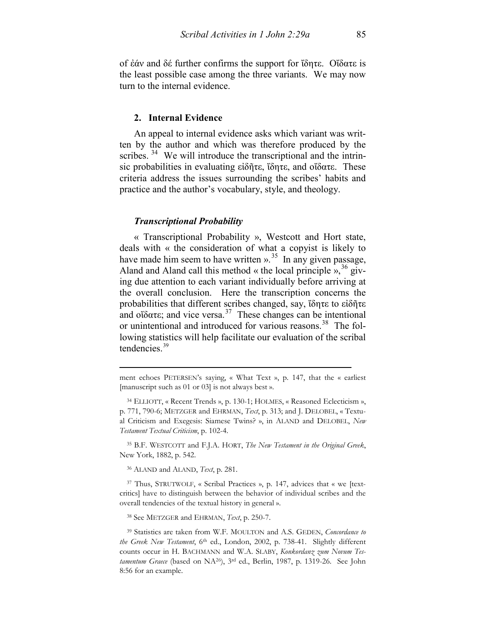of ἐάν and δέ further confirms the support for ἴδητε. Οἴδατε is the least possible case among the three variants. We may now turn to the internal evidence.

#### **2. Internal Evidence**

An appeal to internal evidence asks which variant was written by the author and which was therefore produced by the scribes.<sup>[34](#page-8-0)</sup> We will introduce the transcriptional and the intrinsic probabilities in evaluating εἰδῆτε, ἴδητε, and οἴδατε. These criteria address the issues surrounding the scribes' habits and practice and the author's vocabulary, style, and theology.

# *Transcriptional Probability*

« Transcriptional Probability », Westcott and Hort state, deals with « the consideration of what a copyist is likely to have made him seem to have written  $v<sup>35</sup>$  $v<sup>35</sup>$  $v<sup>35</sup>$ . In any given passage, Aland and Aland call this method « the local principle »,  $36$  giving due attention to each variant individually before arriving at the overall conclusion. Here the transcription concerns the probabilities that different scribes changed, say, ἴδητε to εἰδῆτε and οἴδατε; and vice versa.<sup>[37](#page-8-3)</sup> These changes can be intentional or unintentional and introduced for various reasons.<sup>[38](#page-8-4)</sup> The following statistics will help facilitate our evaluation of the scribal tendencies.<sup>[39](#page-8-5)</sup>

<span id="page-8-1"></span><sup>35</sup> B.F. WESTCOTT and F.J.A. HORT, *The New Testament in the Original Greek*, New York, 1882, p. 542.

<sup>36</sup> ALAND and ALAND, *Text*, p. 281.

 $\overline{a}$ 

<span id="page-8-3"></span><span id="page-8-2"></span><sup>37</sup> Thus, STRUTWOLF, « Scribal Practices », p. 147, advices that « we [textcritics] have to distinguish between the behavior of individual scribes and the overall tendencies of the textual history in general ».

<sup>38</sup> See METZGER and EHRMAN, *Text*, p. 250-7.

ment echoes PETERSEN's saying, « What Text », p. 147, that the « earliest [manuscript such as 01 or 03] is not always best ».

<span id="page-8-0"></span><sup>34</sup> ELLIOTT, « Recent Trends », p. 130-1; HOLMES, « Reasoned Eclecticism », p. 771, 790-6; METZGER and EHRMAN, *Text*, p. 313; and J. DELOBEL, « Textual Criticism and Exegesis: Siamese Twins? », in ALAND and DELOBEL, *New Testament Textual Criticism*, p. 102-4.

<span id="page-8-5"></span><span id="page-8-4"></span><sup>39</sup> Statistics are taken from W.F. MOULTON and A.S. GEDEN, *Concordance to the Greek New Testament*, 6th ed., London, 2002, p. 738-41. Slightly different counts occur in H. BACHMANN and W.A. SLABY, *Konkordanz zum Novum Testamentum Graece* (based on NA26), 3rd ed., Berlin, 1987, p. 1319-26. See John 8:56 for an example.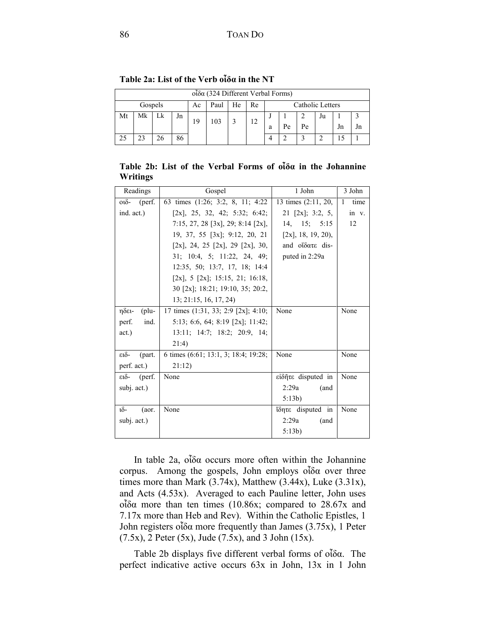|    | $o$ ίδα (324 Different Verbal Forms)                  |    |    |    |     |  |    |   |    |    |    |    |    |
|----|-------------------------------------------------------|----|----|----|-----|--|----|---|----|----|----|----|----|
|    | Catholic Letters<br>Gospels<br>Paul<br>He<br>Re<br>Ac |    |    |    |     |  |    |   |    |    |    |    |    |
| Mt | Mk                                                    | Lk | Jn | 19 | 103 |  | 12 |   |    |    | Ju |    |    |
|    |                                                       |    |    |    |     |  |    | a | Рe | Pe |    | Jn | Jn |
|    | 23                                                    | 26 | 86 |    |     |  |    |   | ◠  |    |    |    |    |

**Table 2a: List of the Verb οἶδα in the NT**

**Table 2b: List of the Verbal Forms of οἶδα in the Johannine Writings**

| Readings            | Gospel                                     | 1 John                | 3 John                 |
|---------------------|--------------------------------------------|-----------------------|------------------------|
| $o1$ δ (perf.       | 63 times (1:26; 3:2, 8, 11; 4:22           | 13 times $(2:11, 20,$ | time<br>$\overline{1}$ |
| ind. act.)          | $[2x]$ , 25, 32, 42; 5:32; 6:42;           | 21 [2x]; 3:2, 5,      | in v.                  |
|                     | 7:15, 27, 28 [3x], 29; 8:14 [2x],          | 14, 15; 5:15          | 12                     |
|                     | 19, 37, 55 [3x]; 9:12, 20, 21              | $[2x]$ , 18, 19, 20), |                        |
|                     | $[2x]$ , 24, 25 $[2x]$ , 29 $[2x]$ , 30, 1 | and οΐδατε dis-       |                        |
|                     | 31; 10:4, 5; 11:22, 24, 49;                | puted in 2:29a        |                        |
|                     | 12:35, 50; 13:7, 17, 18; 14:4              |                       |                        |
|                     | $[2x]$ , 5 $[2x]$ ; 15:15, 21; 16:18,      |                       |                        |
|                     | 30 [2x]; 18:21; 19:10, 35; 20:2,           |                       |                        |
|                     | 13; 21:15, 16, 17, 24)                     |                       |                        |
| $($ plu-<br>ηδει-   | 17 times $(1:31, 33; 2:9 [2x]; 4:10;$      | None                  | None                   |
| ind.<br>perf.       | $5:13$ ; 6:6, 64; 8:19 [2x]; 11:42;        |                       |                        |
| act.)               | 13:11; 14:7; 18:2; 20:9, 14;               |                       |                        |
|                     | 21:4)                                      |                       |                        |
| ειδ-<br>(part.      | 6 times (6:61; 13:1, 3; 18:4; 19:28;       | None                  | None                   |
| perf. act.)         | 21:12)                                     |                       |                        |
| (perf.<br>ειδ-      | None                                       | είδητε disputed in    | None                   |
| subj. act.)         |                                            | 2:29a<br>(and         |                        |
|                     |                                            | 5:13b)                |                        |
| $\delta$ -<br>(aor. | None                                       | ΐδητε disputed in     | None                   |
| subj. act.)         |                                            | 2:29a<br>(and         |                        |
|                     |                                            | 5:13b)                |                        |

In table 2a, οἶδα occurs more often within the Johannine corpus. Among the gospels, John employs οἶδα over three times more than Mark  $(3.74x)$ , Matthew  $(3.44x)$ , Luke  $(3.31x)$ , and Acts (4.53x). Averaged to each Pauline letter, John uses οἶδα more than ten times (10.86x; compared to 28.67x and 7.17x more than Heb and Rev). Within the Catholic Epistles, 1 John registers οἶδα more frequently than James (3.75x), 1 Peter  $(7.5x)$ , 2 Peter  $(5x)$ , Jude  $(7.5x)$ , and 3 John  $(15x)$ .

Table 2b displays five different verbal forms of οἶδα. The perfect indicative active occurs 63x in John, 13x in 1 John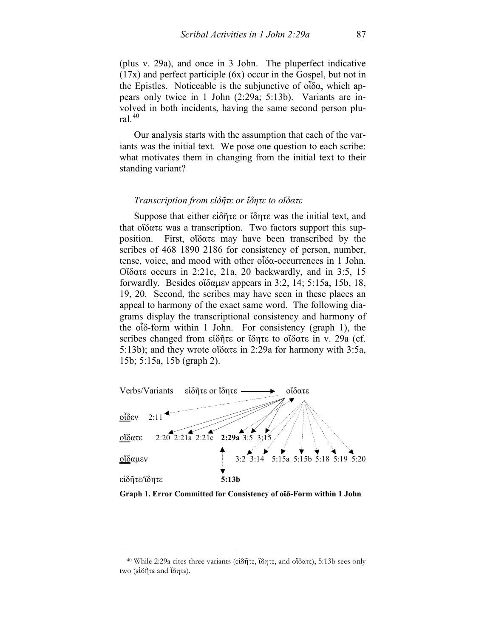(plus v. 29a), and once in 3 John. The pluperfect indicative (17x) and perfect participle (6x) occur in the Gospel, but not in the Epistles. Noticeable is the subjunctive of οἶδα, which appears only twice in 1 John (2:29a; 5:13b). Variants are involved in both incidents, having the same second person plural. $40$ 

Our analysis starts with the assumption that each of the variants was the initial text. We pose one question to each scribe: what motivates them in changing from the initial text to their standing variant?

#### *Transcription from εἰδῆτε or ἴδητε to οἴδατε*

Suppose that either εἰδῆτε or ἴδητε was the initial text, and that οἴδατε was a transcription. Two factors support this supposition. First, οἴδατε may have been transcribed by the scribes of 468 1890 2186 for consistency of person, number, tense, voice, and mood with other οἶδα-occurrences in 1 John. Οἴδατε occurs in 2:21c, 21a, 20 backwardly, and in 3:5, 15 forwardly. Besides οἴδαμεν appears in 3:2, 14; 5:15a, 15b, 18, 19, 20. Second, the scribes may have seen in these places an appeal to harmony of the exact same word. The following diagrams display the transcriptional consistency and harmony of the οἶδ-form within 1 John. For consistency (graph 1), the scribes changed from εἰδῆτε or ἴδητε to οἴδατε in v. 29a (cf. 5:13b); and they wrote οἴδατε in 2:29a for harmony with 3:5a, 15b; 5:15a, 15b (graph 2).



**Graph 1. Error Committed for Consistency of οἴδ-Form within 1 John**

<span id="page-10-0"></span><sup>40</sup> While 2:29a cites three variants (εἰδῆτε, ἴδητε, and οἴδατε), 5:13b sees only two (εἰδῆτε and ἴδητε).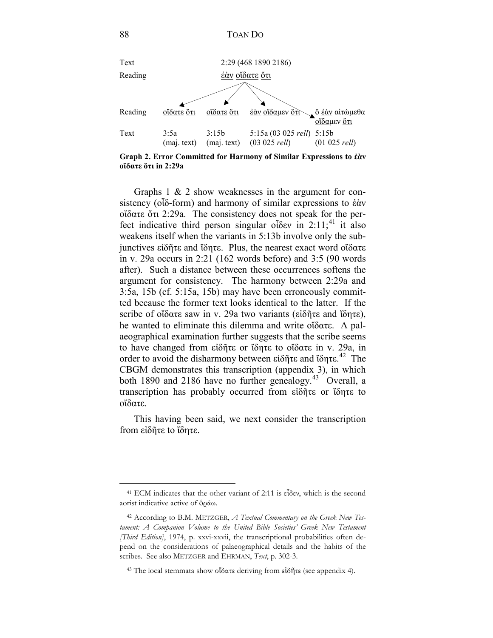

**Graph 2. Error Committed for Harmony of Similar Expressions to ἐὰν οἴδατε ὅτι in 2:29a**

Graphs 1 & 2 show weaknesses in the argument for consistency (οἶδ-form) and harmony of similar expressions to ἐὰν οἴδατε ὅτι 2:29a. The consistency does not speak for the per-fect indicative third person singular οἶδεν in 2:11;<sup>[41](#page-11-0)</sup> it also weakens itself when the variants in 5:13b involve only the subjunctives εἰδῆτε and ἴδητε. Plus, the nearest exact word οἴδατε in v. 29a occurs in 2:21 (162 words before) and 3:5 (90 words after). Such a distance between these occurrences softens the argument for consistency. The harmony between 2:29a and 3:5a, 15b (cf. 5:15a, 15b) may have been erroneously committed because the former text looks identical to the latter. If the scribe of οἴδατε saw in v. 29a two variants (εἰδῆτε and ἴδητε), he wanted to eliminate this dilemma and write οἴδατε. A palaeographical examination further suggests that the scribe seems to have changed from εἰδῆτε or ἴδητε to οἴδατε in v. 29a, in order to avoid the disharmony between εἰδῆτε and ἴδητε.<sup>42</sup> The CBGM demonstrates this transcription (appendix 3), in which both 1890 and 2186 have no further genealogy.<sup>[43](#page-11-2)</sup> Overall, a transcription has probably occurred from εἰδῆτε or ἴδητε to οἴδατε.

This having been said, we next consider the transcription from εἰδῆτε to ἴδητε.

<span id="page-11-0"></span><sup>41</sup> ECM indicates that the other variant of 2:11 is εἶδεν, which is the second aorist indicative active of ὁράω.

<span id="page-11-1"></span><sup>42</sup> According to B.M. METZGER, *A Textual Commentary on the Greek New Testament: A Companion Volume to the United Bible Societies' Greek New Testament [Third Edition]*, 1974, p. xxvi-xxvii, the transcriptional probabilities often depend on the considerations of palaeographical details and the habits of the scribes. See also METZGER and EHRMAN, *Text*, p. 302-3.

<span id="page-11-2"></span><sup>43</sup> The local stemmata show οἴδατε deriving from εἰδῆτε (see appendix 4).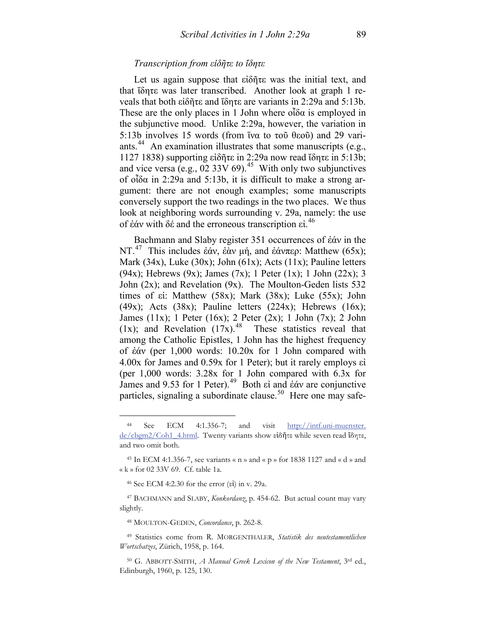# *Transcription from εἰδῆτε to ἴδητε*

Let us again suppose that εἰδῆτε was the initial text, and that ἴδητε was later transcribed. Another look at graph 1 reveals that both εἰδῆτε and ἴδητε are variants in 2:29a and 5:13b. These are the only places in 1 John where  $\partial \delta \alpha$  is employed in the subjunctive mood. Unlike 2:29a, however, the variation in 5:13b involves 15 words (from ἵνα to τοῦ θεοῦ) and 29 variants.<sup>44</sup> An examination illustrates that some manuscripts (e.g., 1127 1838) supporting εἰδῆτε in 2:29a now read ἴδητε in 5:13b; and vice versa (e.g.,  $\overline{02}$  33V 69).<sup>[45](#page-12-1)</sup> With only two subjunctives of οἶδα in 2:29a and 5:13b, it is difficult to make a strong argument: there are not enough examples; some manuscripts conversely support the two readings in the two places. We thus look at neighboring words surrounding v. 29a, namely: the use of ἐάν with δέ and the erroneous transcription εἰ. [46](#page-12-2)

Bachmann and Slaby register 351 occurrences of ἐάν in the NT.[47](#page-12-3) This includes ἐάν, ἐὰν μή, and ἐάνπερ: Matthew (65x); Mark (34x), Luke (30x); John (61x); Acts (11x); Pauline letters (94x); Hebrews (9x); James (7x); 1 Peter (1x); 1 John (22x); 3 John (2x); and Revelation (9x). The Moulton-Geden lists 532 times of εἰ: Matthew (58x); Mark (38x); Luke (55x); John  $(49x)$ ; Acts  $(38x)$ ; Pauline letters  $(224x)$ ; Hebrews  $(16x)$ ; James (11x); 1 Peter (16x); 2 Peter (2x); 1 John (7x); 2 John (1x); and Revelation  $(17x)^{48}$  These statistics reveal that among the Catholic Epistles, 1 John has the highest frequency of ἐάν (per 1,000 words: 10.20x for 1 John compared with 4.00x for James and 0.59x for 1 Peter); but it rarely employs εἰ (per 1,000 words: 3.28x for 1 John compared with 6.3x for James and 9.53 for 1 Peter).[49](#page-12-5) Both εἰ and ἐάν are conjunctive particles, signaling a subordinate clause.<sup>50</sup> Here one may safe-

 $\overline{a}$ 

<sup>48</sup> MOULTON-GEDEN, *Concordance*, p. 262-8.

<span id="page-12-0"></span><sup>44</sup> See ECM 4:1.356-7; and visit http://intf.uni-muenster. de/cbgm2/Coh1\_4.html. Twenty variants show εἰδῆτε while seven read ἴδητε, and two omit both.

<span id="page-12-1"></span><sup>45</sup> In ECM 4:1.356-7, see variants « n » and « p » for 1838 1127 and « d » and « k » for 02 33V 69. Cf. table 1a.

<sup>46</sup> See ECM 4:2.30 for the error (εἰ) in v. 29a.

<span id="page-12-3"></span><span id="page-12-2"></span><sup>47</sup> BACHMANN and SLABY, *Konkordanz*, p. 454-62. But actual count may vary slightly.

<span id="page-12-5"></span><span id="page-12-4"></span><sup>49</sup> Statistics come from R. MORGENTHALER, *Statistik des neutestamentlichen Wortschatzes*, Zürich, 1958, p. 164.

<span id="page-12-6"></span><sup>50</sup> G. ABBOTT-SMITH, *A Manual Greek Lexicon of the New Testament*, 3rd ed., Edinburgh, 1960, p. 125, 130.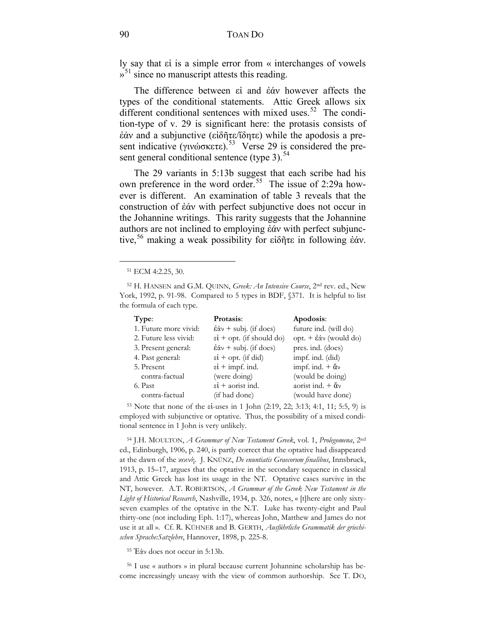ly say that εἰ is a simple error from « interchanges of vowels  $\gamma^{51}$  $\gamma^{51}$  $\gamma^{51}$  since no manuscript attests this reading.

The difference between εἰ and ἐάν however affects the types of the conditional statements. Attic Greek allows six different conditional sentences with mixed uses. $52$  The condition-type of v. 29 is significant here: the protasis consists of ἐάν and a subjunctive (εἰδῆτε/ἴδητε) while the apodosis a pre-sent indicative (γινώσκετε).<sup>[53](#page-13-2)</sup> Verse 29 is considered the present general conditional sentence (type 3). $<sup>54</sup>$  $<sup>54</sup>$  $<sup>54</sup>$ </sup>

The 29 variants in 5:13b suggest that each scribe had his own preference in the word order.<sup>[55](#page-13-4)</sup> The issue of 2:29a however is different. An examination of table 3 reveals that the construction of ἐάν with perfect subjunctive does not occur in the Johannine writings. This rarity suggests that the Johannine authors are not inclined to employing ἐάν with perfect subjunc-tive,<sup>[56](#page-13-5)</sup> making a weak possibility for εἰδῆτε in following ἐάν.

 $\overline{a}$ 

<span id="page-13-1"></span><span id="page-13-0"></span><sup>52</sup> H. HANSEN and G.M. QUINN, *Greek: An Intensive Course*, 2nd rev. ed., New York, 1992, p. 91-98. Compared to 5 types in BDF,  $$371$ . It is helpful to list the formula of each type.

| Type:                 | Protasis:                                         | Apodosis:                          |
|-----------------------|---------------------------------------------------|------------------------------------|
| 1. Future more vivid: | $\dot{\epsilon}$ $\dot{\alpha}$ + subj. (if does) | future ind. (will do)              |
| 2. Future less vivid: | $\epsilon i$ + opt. (if should do)                | opt. + έάν (would do)              |
| 3. Present general:   | $\dot{\epsilon}$ $\dot{\alpha}$ + subj. (if does) | pres. ind. (does)                  |
| 4. Past general:      | $\epsilon i$ + opt. (if did)                      | impf. ind. (did)                   |
| 5. Present            | $\epsilon i$ + impf. ind.                         | impf. ind. $+ \check{\alpha} \nu$  |
| contra-factual        | (were doing)                                      | (would be doing)                   |
| 6. Past               | $\epsilon i$ + aorist ind.                        | aorist ind. $+ \tilde{\alpha} \nu$ |
| contra-factual        | (if had done)                                     | (would have done)                  |

<span id="page-13-2"></span><sup>53</sup> Note that none of the εἰ-uses in 1 John (2:19, 22; 3:13; 4:1, 11; 5:5, 9) is employed with subjunctive or optative. Thus, the possibility of a mixed conditional sentence in 1 John is very unlikely.

<span id="page-13-3"></span><sup>54</sup> J.H. MOULTON, *A Grammar of New Testament Greek*, vol. 1, *Prolegomena*, 2nd ed., Edinburgh, 1906, p. 240, is partly correct that the optative had disappeared at the dawn of the κοινή. J. KNÜNZ, *De enuntiatis Graecorum finalibus*, Innsbruck, 1913, p. 15–17, argues that the optative in the secondary sequence in classical and Attic Greek has lost its usage in the NT. Optative cases survive in the NT, however. A.T. ROBERTSON, *A Grammar of the Greek New Testament in the Light of Historical Research*, Nashville, 1934, p. 326, notes, « [t]here are only sixtyseven examples of the optative in the N.T. Luke has twenty-eight and Paul thirty-one (not including Eph. 1:17), whereas John, Matthew and James do not use it at all ». Cf. R. KÜHNER and B. GERTH, *Ausführliche Grammatik der griechischen Sprache:Satzlehre*, Hannover, 1898, p. 225-8.

<sup>55</sup> Ἐάν does not occur in 5:13b.

<span id="page-13-5"></span><span id="page-13-4"></span><sup>56</sup> I use « authors » in plural because current Johannine scholarship has become increasingly uneasy with the view of common authorship. See T. DO,

<sup>51</sup> ECM 4:2.25, 30.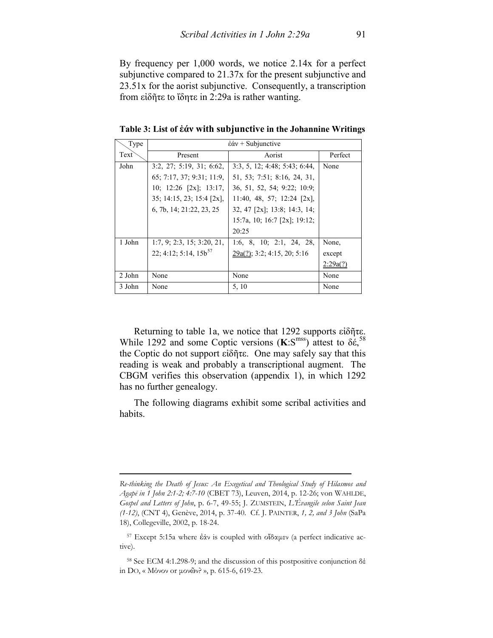By frequency per 1,000 words, we notice 2.14x for a perfect subjunctive compared to 21.37x for the present subjunctive and 23.51x for the aorist subjunctive. Consequently, a transcription from εἰδῆτε to ἴδητε in 2:29a is rather wanting.

**Table 3: List of ἐάν with subjunctive in the Johannine Writings**

| Type              | $\dot{\epsilon}\acute{\alpha}v$ + Subjunctive |                                |          |  |  |  |
|-------------------|-----------------------------------------------|--------------------------------|----------|--|--|--|
| Text <sup>-</sup> | Present                                       | Aorist                         | Perfect  |  |  |  |
| John              | $3:2$ , $27:5:19$ , $31:6:62$ ,               | 3:3, 5, 12; 4:48; 5:43; 6:44,  | None     |  |  |  |
|                   | 65; 7:17, 37; 9:31; 11:9,                     | 51, 53; 7:51; 8:16, 24, 31,    |          |  |  |  |
|                   | 10; $12:26$ [2x]; 13:17,                      | 36, 51, 52, 54; 9:22; 10:9;    |          |  |  |  |
|                   | $35: 14:15$ , $23: 15:4$ $[2x]$ ,             | 11:40, 48, 57; 12:24 $[2x]$ ,  |          |  |  |  |
|                   | 6, 7b, 14; 21:22, 23, 25                      | $32, 47$ [2x]; 13:8; 14:3, 14; |          |  |  |  |
|                   |                                               | 15:7a, 10; 16:7 [2x]; 19:12;   |          |  |  |  |
|                   |                                               | 20:25                          |          |  |  |  |
| 1 John            | 1:7, 9: 2:3, 15: 3:20, 21,                    | 1:6, 8, 10; 2:1, 24, 28,       | None,    |  |  |  |
|                   | $22; 4:12; 5:14, 15b^{57}$                    | 29a(?); 3:2; 4:15, 20; 5:16    | except   |  |  |  |
|                   |                                               |                                | 2:29a(?) |  |  |  |
| 2 John            | None                                          | None                           | None     |  |  |  |
| 3 John            | None                                          | 5, 10                          | None     |  |  |  |

Returning to table 1a, we notice that 1292 supports εἰδῆτε. While 1292 and some Coptic versions  $(K: S<sup>mss</sup>)$  attest to  $\delta \dot{\epsilon}$ ,<sup>[58](#page-14-1)</sup> the Coptic do not support εἰδῆτε. One may safely say that this reading is weak and probably a transcriptional augment. The CBGM verifies this observation (appendix 1), in which 1292 has no further genealogy.

The following diagrams exhibit some scribal activities and habits.

*Re-thinking the Death of Jesus: An Exegetical and Theological Study of Hilasmos and Agapē in 1 John 2:1-2; 4:7-10* (CBET 73), Leuven, 2014, p. 12-26; von WAHLDE, *Gospel and Letters of John*, p. 6-7, 49-55; J. ZUMSTEIN, *L'Évangile selon Saint Jean (1-12)*, (CNT 4), Genève, 2014, p. 37-40. Cf. J. PAINTER, *1, 2, and 3 John* (SaPa 18), Collegeville, 2002, p. 18-24.

<span id="page-14-0"></span><sup>57</sup> Except 5:15a where ἐάν is coupled with οἴδαμεν (a perfect indicative active).

<span id="page-14-1"></span><sup>58</sup> See ECM 4:1.298-9; and the discussion of this postpositive conjunction δέ in DO, « Μόνον or μονῶν? », p. 615-6, 619-23.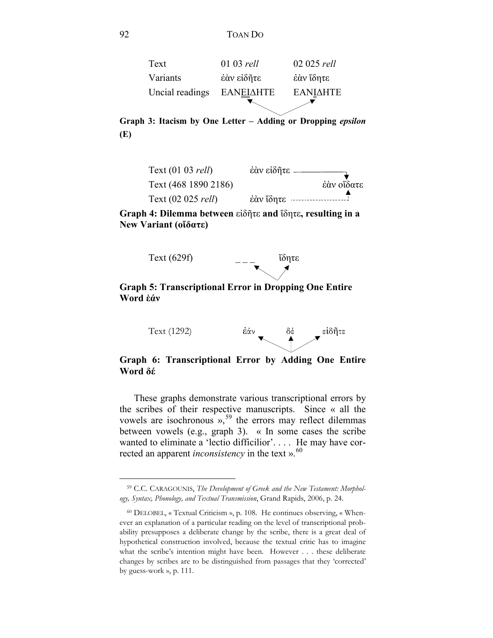

**Graph 3: Itacism by One Letter – Adding or Dropping** *epsilon* **(E)**



**Graph 4: Dilemma between** εἰδῆτε **and** ἴδητε**, resulting in a New Variant (οἴδατε)**



**Word ἐάν**

 $\overline{a}$ 



**Graph 6: Transcriptional Error by Adding One Entire Word δέ**

These graphs demonstrate various transcriptional errors by the scribes of their respective manuscripts. Since « all the vowels are isochronous  $v<sub>1</sub>$ <sup>[59](#page-15-0)</sup> the errors may reflect dilemmas between vowels (e.g., graph 3). « In some cases the scribe wanted to eliminate a 'lectio difficilior'. . . . He may have corrected an apparent *inconsistency* in the text ». [60](#page-15-1)

<span id="page-15-0"></span><sup>59</sup> C.C. CARAGOUNIS, *The Development of Greek and the New Testament: Morphology, Syntax, Phonology, and Textual Transmission*, Grand Rapids, 2006, p. 24.

<span id="page-15-1"></span><sup>60</sup> DELOBEL, « Textual Criticism », p. 108. He continues observing, « Whenever an explanation of a particular reading on the level of transcriptional probability presupposes a deliberate change by the scribe, there is a great deal of hypothetical construction involved, because the textual critic has to imagine what the scribe's intention might have been. However . . . these deliberate changes by scribes are to be distinguished from passages that they 'corrected' by guess-work », p. 111.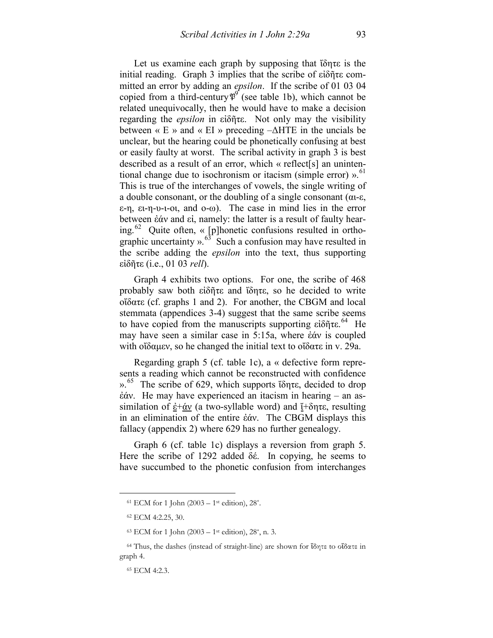Let us examine each graph by supposing that ἴδητε is the initial reading. Graph 3 implies that the scribe of εἰδῆτε committed an error by adding an *epsilon*. If the scribe of 01 03 04 copied from a third-century  $\mathfrak{P}^{\mathcal{S}}$  (see table 1b), which cannot be related unequivocally, then he would have to make a decision regarding the *epsilon* in εἰδῆτε. Not only may the visibility between « Ε » and « EI » preceding  $-\Delta HTE$  in the uncials be unclear, but the hearing could be phonetically confusing at best or easily faulty at worst. The scribal activity in graph 3 is best described as a result of an error, which « reflect[s] an unintentional change due to isochronism or itacism (simple error) ». [61](#page-16-0)  This is true of the interchanges of vowels, the single writing of a double consonant, or the doubling of a single consonant (αι-ε, ε-η, ει-η-υ-ι-οι, and ο-ω). The case in mind lies in the error between ἐάν and εἰ, namely: the latter is a result of faulty hearing.<sup>62</sup> Quite often, « [p]honetic confusions resulted in orthographic uncertainty  $\frac{1}{2}$ .<sup>[63](#page-16-2)</sup> Such a confusion may have resulted in the scribe adding the *epsilon* into the text, thus supporting εἰδῆτε (i.e., 01 03 *rell*).

Graph 4 exhibits two options. For one, the scribe of 468 probably saw both εἰδῆτε and ἴδητε, so he decided to write οἴδατε (cf. graphs 1 and 2). For another, the CBGM and local stemmata (appendices 3-4) suggest that the same scribe seems to have copied from the manuscripts supporting εἰδῆτε. [64](#page-16-3) He may have seen a similar case in 5:15a, where ἐάν is coupled with οἴδαμεν, so he changed the initial text to οἴδατε in v. 29a.

Regarding graph 5 (cf. table 1c), a « defective form represents a reading which cannot be reconstructed with confidence ». [65](#page-16-4) The scribe of 629, which supports ἴδητε, decided to drop ἐάν. He may have experienced an itacism in hearing – an assimilation of  $\underline{\dot{\epsilon}} + \underline{\dot{\alpha}}y$  (a two-syllable word) and  $\underline{\dot{\gamma}} + \delta \eta \tau \epsilon$ , resulting in an elimination of the entire ἐάν. The CBGM displays this fallacy (appendix 2) where 629 has no further genealogy.

Graph 6 (cf. table 1c) displays a reversion from graph 5. Here the scribe of 1292 added δέ. In copying, he seems to have succumbed to the phonetic confusion from interchanges

<span id="page-16-0"></span><sup>&</sup>lt;sup>61</sup> ECM for 1 John (2003 – 1<sup>st</sup> edition), 28<sup>\*</sup>.

<sup>62</sup> ECM 4:2.25, 30.

 $63$  ECM for 1 John (2003 – 1<sup>st</sup> edition), 28<sup>\*</sup>, n. 3.

<span id="page-16-4"></span><span id="page-16-3"></span><span id="page-16-2"></span><span id="page-16-1"></span><sup>64</sup> Thus, the dashes (instead of straight-line) are shown for ἴδητε to οἴδατε in graph 4.

<sup>65</sup> ECM 4:2.3.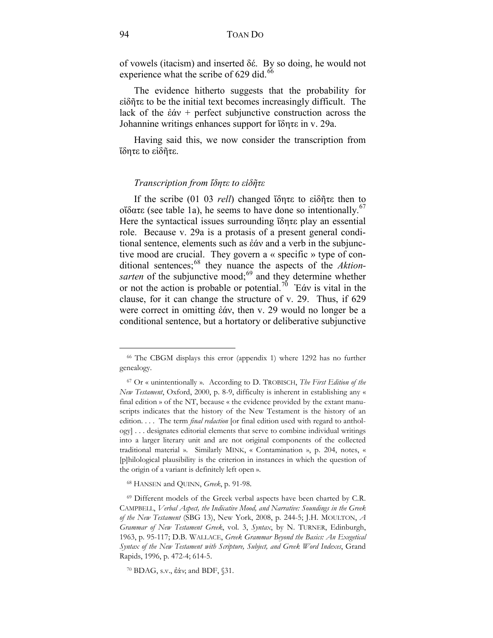of vowels (itacism) and inserted δέ. By so doing, he would not experience what the scribe of 629 did.<sup>[66](#page-17-0)</sup>

The evidence hitherto suggests that the probability for εἰδῆτε to be the initial text becomes increasingly difficult. The lack of the ἐάν + perfect subjunctive construction across the Johannine writings enhances support for ἴδητε in v. 29a.

Having said this, we now consider the transcription from ἴδητε to εἰδῆτε.

#### *Transcription from ἴδητε to εἰδῆτε*

If the scribe (01 03 *rell*) changed ἴδητε to εἰδῆτε then to οΐδατε (see table 1a), he seems to have done so intentionally.<sup>67</sup> Here the syntactical issues surrounding ἴδητε play an essential role. Because v. 29a is a protasis of a present general conditional sentence, elements such as ἐάν and a verb in the subjunctive mood are crucial. They govern a « specific » type of con-ditional sentences;<sup>[68](#page-17-2)</sup> they nuance the aspects of the *Aktion*-sarten of the subjunctive mood;<sup>[69](#page-17-3)</sup> and they determine whether or not the action is probable or potential.[70](#page-17-4) Ἐάν is vital in the clause, for it can change the structure of v. 29. Thus, if 629 were correct in omitting ἐάν, then v. 29 would no longer be a conditional sentence, but a hortatory or deliberative subjunctive

<span id="page-17-0"></span><sup>66</sup> The CBGM displays this error (appendix 1) where 1292 has no further genealogy.

<span id="page-17-1"></span><sup>67</sup> Or « unintentionally ». According to D. TROBISCH, *The First Edition of the New Testament*, Oxford, 2000, p. 8-9, difficulty is inherent in establishing any « final edition » of the NT, because « the evidence provided by the extant manuscripts indicates that the history of the New Testament is the history of an edition. . . . The term *final redaction* [or final edition used with regard to anthology] . . . designates editorial elements that serve to combine individual writings into a larger literary unit and are not original components of the collected traditional material ». Similarly MINK, « Contamination », p. 204, notes, « [p]hilological plausibility is the criterion in instances in which the question of the origin of a variant is definitely left open ».

<sup>68</sup> HANSEN and QUINN, *Greek*, p. 91-98.

<span id="page-17-3"></span><span id="page-17-2"></span><sup>&</sup>lt;sup>69</sup> Different models of the Greek verbal aspects have been charted by C.R. CAMPBELL, *Verbal Aspect, the Indicative Mood, and Narrative: Soundings in the Greek of the New Testament* (SBG 13), New York, 2008, p. 244-5; J.H. MOULTON, *A Grammar of New Testament Greek*, vol. 3, *Syntax*, by N. TURNER, Edinburgh, 1963, p. 95-117; D.B. WALLACE, *Greek Grammar Beyond the Basics: An Exegetical Syntax of the New Testament with Scripture, Subject, and Greek Word Indexes*, Grand Rapids, 1996, p. 472-4; 614-5.

<span id="page-17-4"></span><sup>70</sup> BDAG, s.v., ἐάν; and BDF, §31.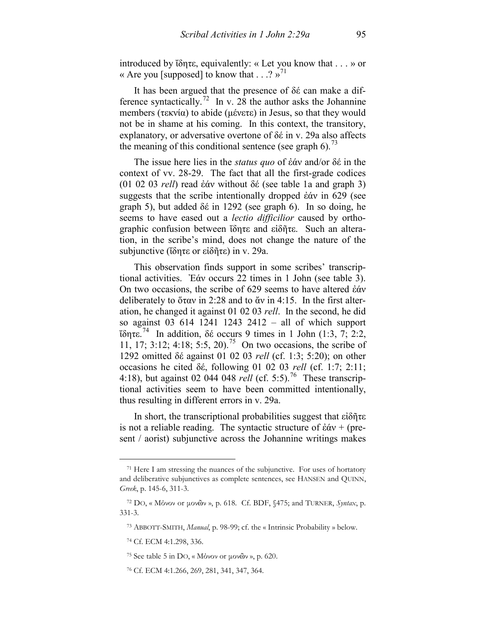introduced by ἴδητε, equivalently: « Let you know that . . . » or « Are you [supposed] to know that  $\cdot$  . .? »<sup>[71](#page-18-0)</sup>

It has been argued that the presence of δέ can make a dif-ference syntactically.<sup>[72](#page-18-1)</sup> In v. 28 the author asks the Johannine members (τεκνία) to abide (μένετε) in Jesus, so that they would not be in shame at his coming. In this context, the transitory, explanatory, or adversative overtone of δέ in v. 29a also affects the meaning of this conditional sentence (see graph 6).<sup>[73](#page-18-2)</sup>

The issue here lies in the *status quo* of ἐάν and/or δέ in the context of vv. 28-29. The fact that all the first-grade codices (01 02 03 *rell*) read ἐάν without δέ (see table 1a and graph 3) suggests that the scribe intentionally dropped ἐάν in 629 (see graph 5), but added δέ in 1292 (see graph 6). In so doing, he seems to have eased out a *lectio difficilior* caused by orthographic confusion between ἴδητε and εἰδῆτε. Such an alteration, in the scribe's mind, does not change the nature of the subjunctive (ἴδητε or εἰδῆτε) in v. 29a.

This observation finds support in some scribes' transcriptional activities. Ἐάν occurs 22 times in 1 John (see table 3). On two occasions, the scribe of 629 seems to have altered ἐάν deliberately to ὅταν in 2:28 and to ἄν in 4:15. In the first alteration, he changed it against 01 02 03 *rell*. In the second, he did so against 03 614 1241 1243 2412 – all of which support ἴδητε. [74](#page-18-3) In addition, δέ occurs 9 times in 1 John (1:3, 7; 2:2, 11, 17; 3:12; 4:18; 5:5, 20).<sup>75</sup> On two occasions, the scribe of 1292 omitted δέ against 01 02 03 *rell* (cf. 1:3; 5:20); on other occasions he cited δέ, following 01 02 03 *rell* (cf. 1:7; 2:11; 4:18), but against 02 044 048 *rell* (cf. 5:5).<sup>76</sup> These transcriptional activities seem to have been committed intentionally, thus resulting in different errors in v. 29a.

In short, the transcriptional probabilities suggest that εἰδῆτε is not a reliable reading. The syntactic structure of  $\dot{\epsilon} \dot{\alpha} v + (pre$ sent / aorist) subjunctive across the Johannine writings makes

<span id="page-18-0"></span><sup>71</sup> Here I am stressing the nuances of the subjunctive. For uses of hortatory and deliberative subjunctives as complete sentences, see HANSEN and QUINN, *Greek*, p. 145-6, 311-3.

<span id="page-18-2"></span><span id="page-18-1"></span><sup>72</sup> DO, « Μόνον or μονῶν », p. 618. Cf. BDF, §475; and TURNER, *Syntax*, p. 331-3.

<sup>73</sup> ABBOTT-SMITH, *Manual*, p. 98-99; cf. the « Intrinsic Probability » below.

<span id="page-18-3"></span><sup>74</sup> Cf. ECM 4:1.298, 336.

<sup>75</sup> See table 5 in DO, « Μόνον or μονῶν », p. 620.

<span id="page-18-5"></span><span id="page-18-4"></span><sup>76</sup> Cf. ECM 4:1.266, 269, 281, 341, 347, 364.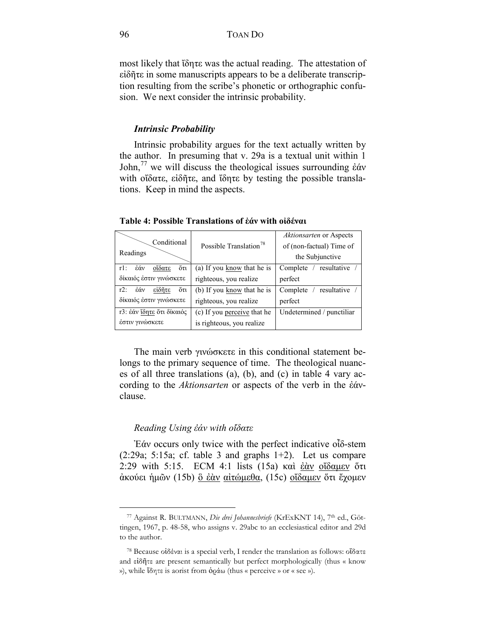most likely that ἴδητε was the actual reading. The attestation of εἰδῆτε in some manuscripts appears to be a deliberate transcription resulting from the scribe's phonetic or orthographic confusion. We next consider the intrinsic probability.

#### *Intrinsic Probability*

Intrinsic probability argues for the text actually written by the author. In presuming that v. 29a is a textual unit within 1 John,<sup>[77](#page-19-0)</sup> we will discuss the theological issues surrounding έάν with οἴδατε, εἰδῆτε, and ἴδητε by testing the possible translations. Keep in mind the aspects.

| Conditional<br>Readings        | Possible Translation <sup>78</sup> | Aktionsarten or Aspects<br>of (non-factual) Time of<br>the Subjunctive |
|--------------------------------|------------------------------------|------------------------------------------------------------------------|
| őτι<br>οΐδατε<br>έάν<br>$r1$ : | (a) If you know that he is         | Complete / resultative                                                 |
| δίκαιός έστιν γινώσκετε        | righteous, you realize             | perfect                                                                |
| őτι<br>είδητε<br>έάν<br>$r2$ : | (b) If you know that he is         | resultative<br>Complete                                                |
| δίκαιός έστιν γινώσκετε        | righteous, you realize             | perfect                                                                |
| τ3: έάν ίδητε ότι δίκαιός      | (c) If you perceive that he        | Undetermined / punctiliar                                              |
| έστιν γινώσκετε                | is righteous, you realize          |                                                                        |

**Table 4: Possible Translations of ἐάν with οἰδέναι**

The main verb γινώσκετε in this conditional statement belongs to the primary sequence of time. The theological nuances of all three translations (a), (b), and (c) in table 4 vary according to the *Aktionsarten* or aspects of the verb in the ἐάνclause.

#### *Reading Using ἐάν with οἴδατε*

 $\overline{a}$ 

Ἐάν occurs only twice with the perfect indicative οἶδ-stem  $(2:29a; 5:15a; cf. table 3 and graphs 1+2)$ . Let us compare 2:29 with 5:15. ECM 4:1 lists (15a) καὶ ἐὰν οἴδαμεν ὅτι ἀκούει ἡμῶν (15b) ὃ ἐὰν αἰτώμεθα, (15c) οἴδαμεν ὅτι ἔχομεν

<span id="page-19-0"></span><sup>77</sup> Against R. BULTMANN, *Die drei Johannesbriefe* (KrExKNT 14), 7th ed., Göttingen, 1967, p. 48-58, who assigns v. 29abc to an ecclesiastical editor and 29d to the author.

<span id="page-19-1"></span><sup>78</sup> Because οἰδέναι is a special verb, I render the translation as follows: οἴδατε and εἰδῆτε are present semantically but perfect morphologically (thus « know »), while ἴδητε is aorist from ὁράω (thus « perceive » or « see »).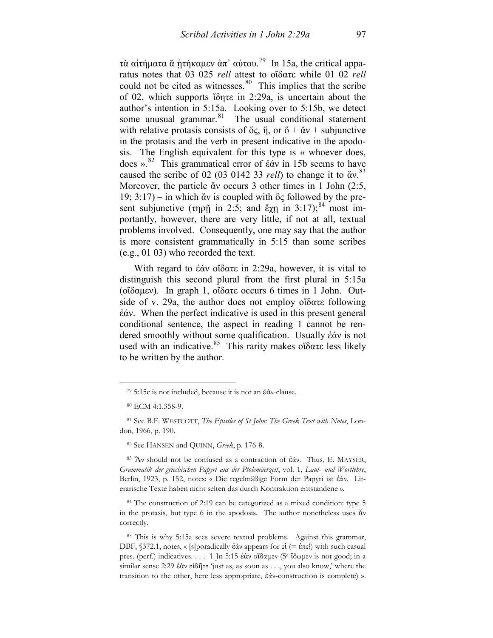τὰ αἰτήματα ἃ ἠτήκαμεν ἀπ᾽ αὐτου.<sup>[79](#page-20-0)</sup> In 15a, the critical apparatus notes that 03 025 *rell* attest to οἴδατε while 01 02 *rell* could not be cited as witnesses. $80$  This implies that the scribe of 02, which supports ἴδητε in 2:29a, is uncertain about the author's intention in 5:15a. Looking over to 5:15b, we detect some unusual grammar. $81$  The usual conditional statement with relative protasis consists of  $\ddot{\text{o}}\zeta$ ,  $\ddot{\text{n}}$ , or  $\ddot{\text{o}} + \ddot{\text{a}}\text{v} +$  subjunctive in the protasis and the verb in present indicative in the apodosis. The English equivalent for this type is « whoever does, does ».<sup>[82](#page-20-3)</sup> This grammatical error of ἐάν in 15b seems to have caused the scribe of 02 (03 0142 33 *rell*) to change it to ἄν. [83](#page-20-4)  Moreover, the particle ἄν occurs 3 other times in 1 John (2:5, 19; 3:17) – in which ἄν is coupled with ὅς followed by the pre-sent subjunctive (τηρῆ in 2:5; and ἔχῃ in 3:17);<sup>[84](#page-20-5)</sup> most importantly, however, there are very little, if not at all, textual problems involved. Consequently, one may say that the author is more consistent grammatically in 5:15 than some scribes (e.g., 01 03) who recorded the text.

With regard to ἐάν οἴδατε in 2:29a, however, it is vital to distinguish this second plural from the first plural in 5:15a (οἴδαμεν). In graph 1, οἴδατε occurs 6 times in 1 John. Outside of v. 29a, the author does not employ οἴδατε following ἐάν. When the perfect indicative is used in this present general conditional sentence, the aspect in reading 1 cannot be rendered smoothly without some qualification. Usually ἐάν is not used with an indicative.<sup>85</sup> This rarity makes οἴδατε less likely to be written by the author.

<span id="page-20-0"></span> $\overline{a}$ 

<span id="page-20-4"></span><span id="page-20-3"></span><sup>83</sup> Ἄν should not be confused as a contraction of ἐάν. Thus, E. MAYSER, *Grammatik der griechischen Papyri aus der Ptolemäerzeit*, vol. 1, *Laut*- *und Wortlehre*, Berlin, 1923, p. 152, notes: « Die regelmäßige Form der Papyri ist ἐάν. Literarische Texte haben nicht selten das durch Kontraktion entstandene ».

<span id="page-20-5"></span><sup>84</sup> The construction of 2:19 can be categorized as a mixed condition: type 5 in the protasis, but type 6 in the apodosis. The author nonetheless uses ἄν correctly.

<span id="page-20-6"></span><sup>85</sup> This is why 5:15a sees severe textual problems. Against this grammar, DBF,  $§$ 372.1, notes, « [s] poradically έάν appears for εἰ (= έπει) with such casual pres. (perf.) indicatives. . . . 1 Jn 5:15 ἐὰν οἴδαμεν (Sc ἴδωμεν is not good; in a similar sense 2:29 ἐὰν εἰδῆτε 'just as, as soon as . . ., you also know,' where the transition to the other, here less appropriate, ἐάν-construction is complete) ».

<sup>79</sup> 5:15c is not included, because it is not an ἐὰν-clause.

<sup>80</sup> ECM 4:1.358-9.

<span id="page-20-2"></span><span id="page-20-1"></span><sup>81</sup> See B.F. WESTCOTT, *The Epistles of St John: The Greek Text with Notes*, London, 1966, p. 190.

<sup>82</sup> See HANSEN and QUINN, *Greek*, p. 176-8.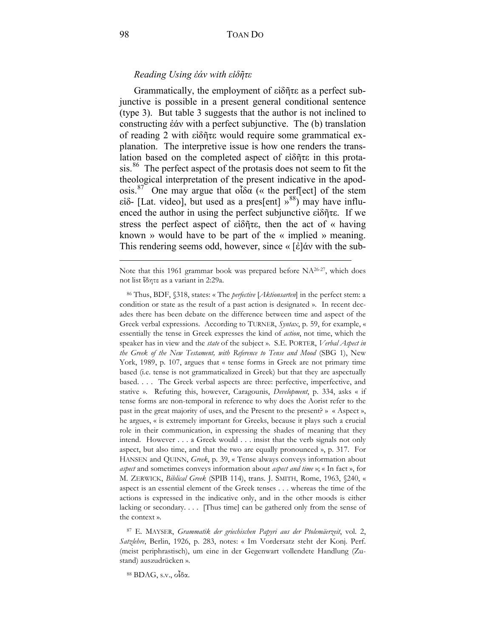# *Reading Using ἐάν with εἰδῆτε*

Grammatically, the employment of εἰδῆτε as a perfect subjunctive is possible in a present general conditional sentence (type 3). But table 3 suggests that the author is not inclined to constructing ἐάν with a perfect subjunctive. The (b) translation of reading 2 with εἰδῆτε would require some grammatical explanation. The interpretive issue is how one renders the translation based on the completed aspect of εἰδῆτε in this protasis.<sup>86</sup> The perfect aspect of the protasis does not seem to fit the theological interpretation of the present indicative in the apodosis.<sup>87</sup> One may argue that οἶδα (« the perf[ect] of the stem είδ- [Lat. video], but used as a pres[ent]  $\frac{1}{2}$ <sup>88</sup>) may have influenced the author in using the perfect subjunctive εἰδῆτε. If we stress the perfect aspect of εἰδῆτε, then the act of « having known » would have to be part of the « implied » meaning. This rendering seems odd, however, since « [ἐ]άν with the sub-

Note that this 1961 grammar book was prepared before NA26-27, which does not list ἴδητε as a variant in 2:29a.

<span id="page-21-0"></span><sup>86</sup> Thus, BDF, §318, states: « The *perfective* [*Aktionsarten*] in the perfect stem: a condition or state as the result of a past action is designated ». In recent decades there has been debate on the difference between time and aspect of the Greek verbal expressions. According to TURNER, *Syntax*, p. 59, for example, « essentially the tense in Greek expresses the kind of *action*, not time, which the speaker has in view and the *state* of the subject ». S.E. PORTER, *Verbal Aspect in the Greek of the New Testament, with Reference to Tense and Mood* (SBG 1), New York, 1989, p. 107, argues that « tense forms in Greek are not primary time based (i.e. tense is not grammaticalized in Greek) but that they are aspectually based. . . . The Greek verbal aspects are three: perfective, imperfective, and stative ». Refuting this, however, Caragounis, *Development*, p. 334, asks « if tense forms are non-temporal in reference to why does the Aorist refer to the past in the great majority of uses, and the Present to the present? » « Aspect », he argues, « is extremely important for Greeks, because it plays such a crucial role in their communication, in expressing the shades of meaning that they intend. However . . . a Greek would . . . insist that the verb signals not only aspect, but also time, and that the two are equally pronounced », p. 317. For HANSEN and QUINN, *Greek*, p. 39, « Tense always conveys information about *aspect* and sometimes conveys information about *aspect and time* »; « In fact », for M. ZERWICK, *Biblical Greek* (SPIB 114), trans. J. SMITH, Rome, 1963, §240, « aspect is an essential element of the Greek tenses . . . whereas the time of the actions is expressed in the indicative only, and in the other moods is either lacking or secondary. . . . [Thus time] can be gathered only from the sense of the context ».

<span id="page-21-1"></span><sup>87</sup> E. MAYSER, *Grammatik der griechischen Papyri aus der Ptolemäerzeit*, vol. 2, *Satzlehre*, Berlin, 1926, p. 283, notes: « Im Vordersatz steht der Konj. Perf. (meist periphrastisch), um eine in der Gegenwart vollendete Handlung (Zustand) auszudrücken ».

<span id="page-21-2"></span><sup>88</sup> BDAG, s.v., οἶδα.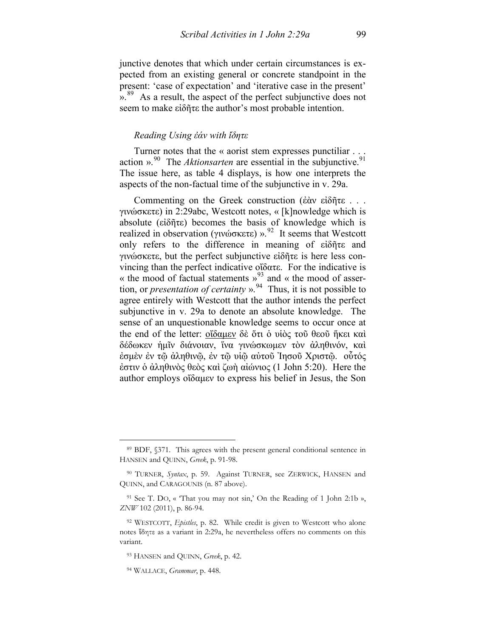junctive denotes that which under certain circumstances is expected from an existing general or concrete standpoint in the present: 'case of expectation' and 'iterative case in the present' ».<sup>[89](#page-22-0)</sup> As a result, the aspect of the perfect subjunctive does not seem to make εἰδῆτε the author's most probable intention.

# *Reading Using ἐάν with ἴδητε*

Turner notes that the « aorist stem expresses punctiliar . . . action ».<sup>[90](#page-22-1)</sup> The *Aktionsarten* are essential in the subjunctive.<sup>91</sup> The issue here, as table 4 displays, is how one interprets the aspects of the non-factual time of the subjunctive in v. 29a.

Commenting on the Greek construction (ἐὰν εἰδῆτε . . . γινώσκετε) in 2:29abc, Westcott notes, « [k]nowledge which is absolute (εἰδῆτε) becomes the basis of knowledge which is realized in observation (γινώσκετε) ».<sup>[92](#page-22-3)</sup> It seems that Westcott only refers to the difference in meaning of εἰδῆτε and γινώσκετε, but the perfect subjunctive εἰδῆτε is here less convincing than the perfect indicative οἴδατε. For the indicative is « the mood of factual statements  $v^{93}$  $v^{93}$  $v^{93}$  and « the mood of assertion, or *presentation of certainty* ».<sup>[94](#page-22-5)</sup> Thus, it is not possible to agree entirely with Westcott that the author intends the perfect subjunctive in v. 29a to denote an absolute knowledge. The sense of an unquestionable knowledge seems to occur once at the end of the letter: οἴδαμεν δὲ ὅτι ὁ υἱὸς τοῦ θεοῦ ἥκει καὶ δέδωκεν ἡμῖν διάνοιαν, ἵνα γινώσκωμεν τὸν ἀληθινόν, καὶ ἐσμὲν ἐν τῷ ἀληθινῷ, ἐν τῷ υἱῷ αὐτοῦ Ἰησοῦ Χριστῷ. οὗτός ἐστιν ὁ ἀληθινὸς θεὸς καὶ ζωὴ αἰώνιος (1 John 5:20). Here the author employs οἴδαμεν to express his belief in Jesus, the Son

<span id="page-22-0"></span><sup>89</sup> BDF, §371. This agrees with the present general conditional sentence in HANSEN and QUINN, *Greek*, p. 91-98.

<span id="page-22-1"></span><sup>90</sup> TURNER, *Syntax*, p. 59. Against TURNER, see ZERWICK, HANSEN and QUINN, and CARAGOUNIS (n. 87 above).

<span id="page-22-2"></span><sup>91</sup> See T. DO, « 'That you may not sin,' On the Reading of 1 John 2:1b », *ZNW* 102 (2011), p. 86-94.

<span id="page-22-4"></span><span id="page-22-3"></span><sup>92</sup> WESTCOTT, *Epistles*, p. 82. While credit is given to Westcott who alone notes ἴδητε as a variant in 2:29a, he nevertheless offers no comments on this variant.

<sup>93</sup> HANSEN and QUINN, *Greek*, p. 42.

<span id="page-22-5"></span><sup>94</sup> WALLACE, *Grammar*, p. 448.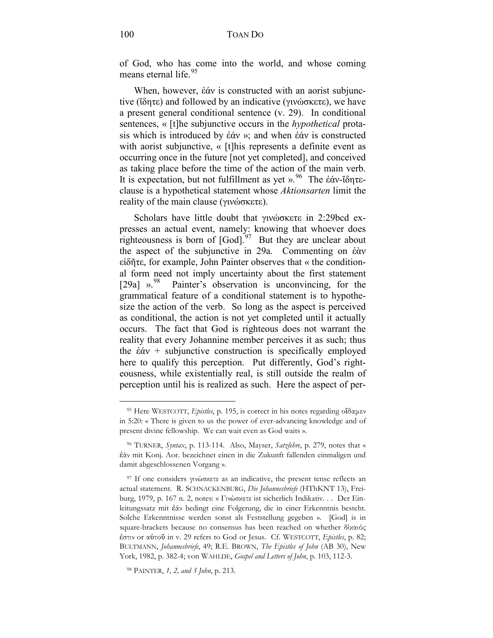of God, who has come into the world, and whose coming means eternal life.<sup>[95](#page-23-0)</sup>

When, however, ἐάν is constructed with an aorist subjunctive (ἴδητε) and followed by an indicative (γινώσκετε), we have a present general conditional sentence (v. 29). In conditional sentences, « [t]he subjunctive occurs in the *hypothetical* protasis which is introduced by ἐάν »; and when ἐάν is constructed with aorist subjunctive, « [t]his represents a definite event as occurring once in the future [not yet completed], and conceived as taking place before the time of the action of the main verb. It is expectation, but not fulfillment as yet ». [96](#page-23-1) The ἐάν-ἴδητεclause is a hypothetical statement whose *Aktionsarten* limit the reality of the main clause (γινώσκετε).

Scholars have little doubt that γινώσκετε in 2:29bcd expresses an actual event, namely: knowing that whoever does righteousness is born of  $[God]$ <sup>[97](#page-23-2)</sup> But they are unclear about the aspect of the subjunctive in 29a. Commenting on ἐὰν εἰδῆτε, for example, John Painter observes that « the conditional form need not imply uncertainty about the first statement [29a] ».<sup>98</sup> Painter's observation is unconvincing, for the grammatical feature of a conditional statement is to hypothesize the action of the verb. So long as the aspect is perceived as conditional, the action is not yet completed until it actually occurs. The fact that God is righteous does not warrant the reality that every Johannine member perceives it as such; thus the  $\dot{\epsilon} \dot{\alpha} v$  + subjunctive construction is specifically employed here to qualify this perception. Put differently, God's righteousness, while existentially real, is still outside the realm of perception until his is realized as such. Here the aspect of per-

<span id="page-23-0"></span><sup>95</sup> Here WESTCOTT, *Epistles*, p. 195, is correct in his notes regarding οἴδαμεν in 5:20: « There is given to us the power of ever-advancing knowledge and of present divine fellowship. We can wait even as God waits ».

<span id="page-23-1"></span><sup>96</sup> TURNER, *Syntax*, p. 113-114. Also, Mayser, *Satzlehre*, p. 279, notes that « ἐάν mit Konj. Aor. bezeichnet einen in die Zukunft fallenden einmaligen und damit abgeschlossenen Vorgang ».

<span id="page-23-2"></span><sup>97</sup> If one considers γινώσκετε as an indicative, the present tense reflects an actual statement. R. SCHNACKENBURG, *Die Johannesbriefe* (HThKNT 13), Freiburg, 1979, p. 167 n. 2, notes: « Γινώσκετε ist sicherlich Indikativ. . . Der Einleitungssatz mit ἐάν bedingt eine Folgerung, die in einer Erkenntnis besteht. Solche Erkenntnisse werden sonst als Feststellung gegeben ». [God] is in square-brackets because no consensus has been reached on whether δίκαιός ἐστιν or αὐτοῦ in v. 29 refers to God or Jesus. Cf. WESTCOTT, *Epistles*, p. 82; BULTMANN, *Johannesbriefe*, 49; R.E. BROWN, *The Epistles of John* (AB 30), New York, 1982, p. 382-4; von WAHLDE, *Gospel and Letters of John*, p. 103, 112-3.

<span id="page-23-3"></span><sup>98</sup> PAINTER, *1, 2, and 3 John*, p. 213.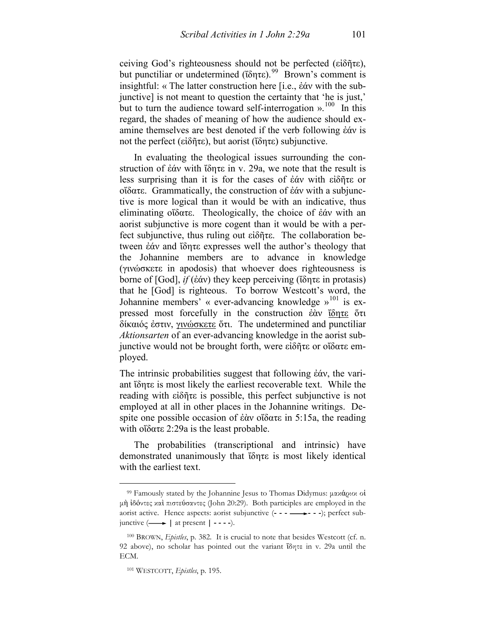ceiving God's righteousness should not be perfected (εἰδῆτε), but punctiliar or undetermined (ἴδητε).<sup>99</sup> Brown's comment is insightful: « The latter construction here [i.e., ἐάν with the subjunctive] is not meant to question the certainty that 'he is just,' but to turn the audience toward self-interrogation  $v<sup>100</sup>$  In this regard, the shades of meaning of how the audience should examine themselves are best denoted if the verb following ἐάν is not the perfect (εἰδῆτε), but aorist (ἴδητε) subjunctive.

In evaluating the theological issues surrounding the construction of ἐάν with ἴδητε in v. 29a, we note that the result is less surprising than it is for the cases of ἐάν with εἰδῆτε or οἴδατε. Grammatically, the construction of ἐάν with a subjunctive is more logical than it would be with an indicative, thus eliminating οἴδατε. Theologically, the choice of ἐάν with an aorist subjunctive is more cogent than it would be with a perfect subjunctive, thus ruling out εἰδῆτε. The collaboration between ἐάν and ἴδητε expresses well the author's theology that the Johannine members are to advance in knowledge (γινώσκετε in apodosis) that whoever does righteousness is borne of [God], *if* (ἐάν) they keep perceiving (ἴδητε in protasis) that he [God] is righteous. To borrow Westcott's word, the Johannine members' « ever-advancing knowledge  $v^{101}$  $v^{101}$  $v^{101}$  is expressed most forcefully in the construction ἐὰν ἴδητε ὅτι δίκαιός ἐστιν, γινώσκετε ὅτι. The undetermined and punctiliar *Aktionsarten* of an ever-advancing knowledge in the aorist subjunctive would not be brought forth, were εἰδῆτε or οἴδατε employed.

The intrinsic probabilities suggest that following ἐάν, the variant ἴδητε is most likely the earliest recoverable text. While the reading with εἰδῆτε is possible, this perfect subjunctive is not employed at all in other places in the Johannine writings. Despite one possible occasion of ἐὰν οἴδατε in 5:15a, the reading with οἴδατε 2:29a is the least probable.

The probabilities (transcriptional and intrinsic) have demonstrated unanimously that ἴδητε is most likely identical with the earliest text.

<span id="page-24-0"></span><sup>99</sup> Famously stated by the Johannine Jesus to Thomas Didymus: μακάριοι οἱ μὴ ἰδόντες καὶ πιστεύσαντες (John 20:29). Both participles are employed in the aorist active. Hence aspects: aorist subjunctive (**- - - - - -**); perfect subjunctive ( **|** at present **| - - - -**).

<span id="page-24-2"></span><span id="page-24-1"></span><sup>100</sup> BROWN, *Epistles*, p. 382. It is crucial to note that besides Westcott (cf. n. 92 above), no scholar has pointed out the variant ἴδητε in v. 29a until the ECM.

<sup>101</sup> WESTCOTT, *Epistles*, p. 195.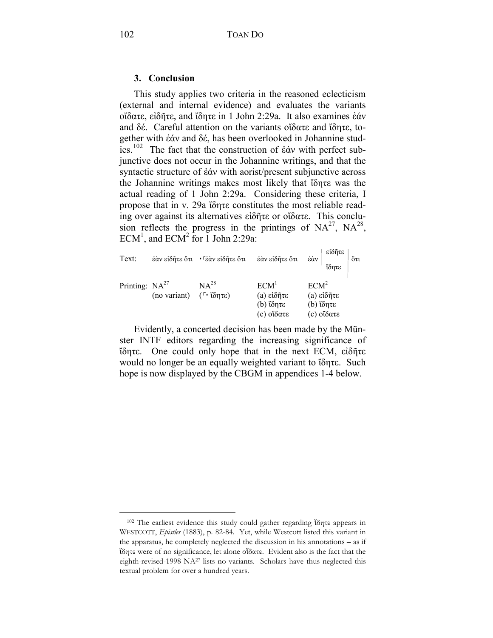## **3. Conclusion**

This study applies two criteria in the reasoned eclecticism (external and internal evidence) and evaluates the variants οἴδατε, εἰδῆτε, and ἴδητε in 1 John 2:29a. It also examines ἐάν and δέ. Careful attention on the variants οἴδατε and ἴδητε, together with ἐάν and δέ, has been overlooked in Johannine studies.[102](#page-25-0) The fact that the construction of ἐάν with perfect subjunctive does not occur in the Johannine writings, and that the syntactic structure of ἐάν with aorist/present subjunctive across the Johannine writings makes most likely that ἴδητε was the actual reading of 1 John 2:29a. Considering these criteria, I propose that in v. 29a ἴδητε constitutes the most reliable reading over against its alternatives εἰδῆτε or οἴδατε. This conclusion reflects the progress in the printings of  $NA^{27}$ ,  $NA^{28}$ ,  $ECM<sup>1</sup>$ , and  $ECM<sup>2</sup>$  for 1 John 2:29a:

| Text:               |              | έὰν εἰδῆτε ὅτι · Γἐὰν εἰδῆτε ὅτι | έάν είδητε ότι                                            | ἐὰν                                                       | εἰδῆτε<br>ΐδητε | őτι |
|---------------------|--------------|----------------------------------|-----------------------------------------------------------|-----------------------------------------------------------|-----------------|-----|
| Printing: $NA^{27}$ | (no variant) | $NA^{28}$<br>$(\ulcorner$ ίδητε) | ECM <sup>1</sup><br>(a) είδητε<br>(b) ίδητε<br>(c) οἴδατε | ECM <sup>2</sup><br>(a) είδητε<br>(b) ίδητε<br>(c) οἴδατε |                 |     |

Evidently, a concerted decision has been made by the Münster INTF editors regarding the increasing significance of ἴδητε. One could only hope that in the next ECM, εἰδῆτε would no longer be an equally weighted variant to ἴδητε. Such hope is now displayed by the CBGM in appendices 1-4 below.

<span id="page-25-0"></span><sup>102</sup> The earliest evidence this study could gather regarding ἴδητε appears in WESTCOTT, *Epistles* (1883), p. 82-84. Yet, while Westcott listed this variant in the apparatus, he completely neglected the discussion in his annotations – as if ἴδητε were of no significance, let alone οἴδατε. Evident also is the fact that the eighth-revised-1998 NA27 lists no variants. Scholars have thus neglected this textual problem for over a hundred years.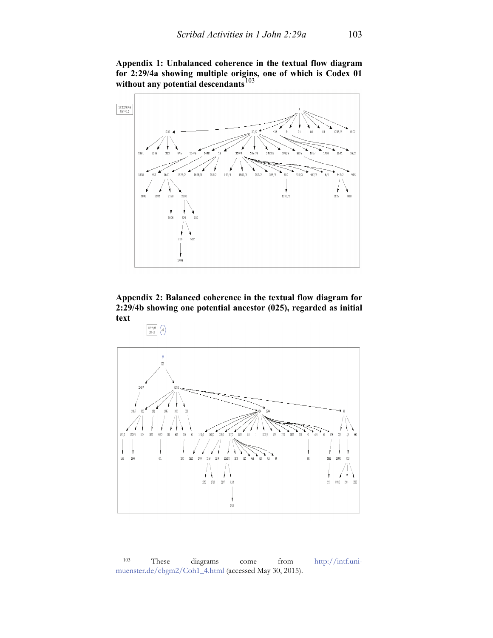**Appendix 1: Unbalanced coherence in the textual flow diagram for 2:29/4a showing multiple origins, one of which is Codex 01 without any potential descendants**[103](#page-26-0)



**Appendix 2: Balanced coherence in the textual flow diagram for 2:29/4b showing one potential ancestor (025), regarded as initial text**



<span id="page-26-0"></span><sup>103</sup> These diagrams come from [http://intf.uni](http://intf.uni-muenster.de/cbgm2/Coh1_4.html)[muenster.de/cbgm2/Coh1\\_4.html](http://intf.uni-muenster.de/cbgm2/Coh1_4.html) (accessed May 30, 2015).